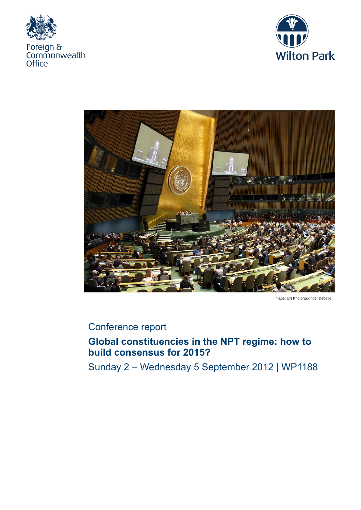





Image: UN Photo/Eskinder Debebe

# Conference report

# **Global constituencies in the NPT regime: how to build consensus for 2015?**

Sunday 2 – Wednesday 5 September 2012 | WP1188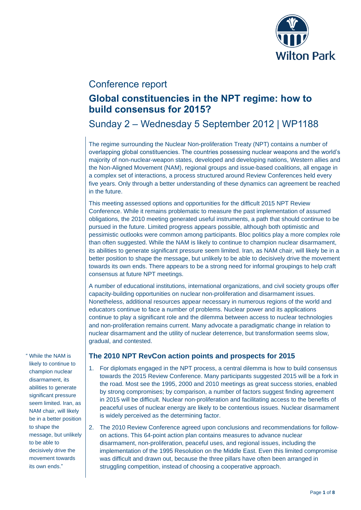

### Conference report

# **Global constituencies in the NPT regime: how to build consensus for 2015?**

# Sunday 2 – Wednesday 5 September 2012 | WP1188

The regime surrounding the Nuclear Non-proliferation Treaty (NPT) contains a number of overlapping global constituencies. The countries possessing nuclear weapons and the world's majority of non-nuclear-weapon states, developed and developing nations, Western allies and the Non-Aligned Movement (NAM), regional groups and issue-based coalitions, all engage in a complex set of interactions, a process structured around Review Conferences held every five years. Only through a better understanding of these dynamics can agreement be reached in the future.

This meeting assessed options and opportunities for the difficult 2015 NPT Review Conference. While it remains problematic to measure the past implementation of assumed obligations, the 2010 meeting generated useful instruments, a path that should continue to be pursued in the future. Limited progress appears possible, although both optimistic and pessimistic outlooks were common among participants. Bloc politics play a more complex role than often suggested. While the NAM is likely to continue to champion nuclear disarmament, its abilities to generate significant pressure seem limited. Iran, as NAM chair, will likely be in a better position to shape the message, but unlikely to be able to decisively drive the movement towards its own ends. There appears to be a strong need for informal groupings to help craft consensus at future NPT meetings.

A number of educational institutions, international organizations, and civil society groups offer capacity-building opportunities on nuclear non-proliferation and disarmament issues. Nonetheless, additional resources appear necessary in numerous regions of the world and educators continue to face a number of problems. Nuclear power and its applications continue to play a significant role and the dilemma between access to nuclear technologies and non-proliferation remains current. Many advocate a paradigmatic change in relation to nuclear disarmament and the utility of nuclear deterrence, but transformation seems slow, gradual, and contested.

" While the NAM is likely to continue to champion nuclear disarmament, its abilities to generate significant pressure seem limited. Iran, as NAM chair, will likely be in a better position to shape the message, but unlikely to be able to decisively drive the movement towards its own ends."

### **The 2010 NPT RevCon action points and prospects for 2015**

- 1. For diplomats engaged in the NPT process, a central dilemma is how to build consensus towards the 2015 Review Conference. Many participants suggested 2015 will be a fork in the road. Most see the 1995, 2000 and 2010 meetings as great success stories, enabled by strong compromises; by comparison, a number of factors suggest finding agreement in 2015 will be difficult. Nuclear non-proliferation and facilitating access to the benefits of peaceful uses of nuclear energy are likely to be contentious issues. Nuclear disarmament is widely perceived as the determining factor.
- 2. The 2010 Review Conference agreed upon conclusions and recommendations for followon actions. This 64-point action plan contains measures to advance nuclear disarmament, non-proliferation, peaceful uses, and regional issues, including the implementation of the 1995 Resolution on the Middle East. Even this limited compromise was difficult and drawn out, because the three pillars have often been arranged in struggling competition, instead of choosing a cooperative approach.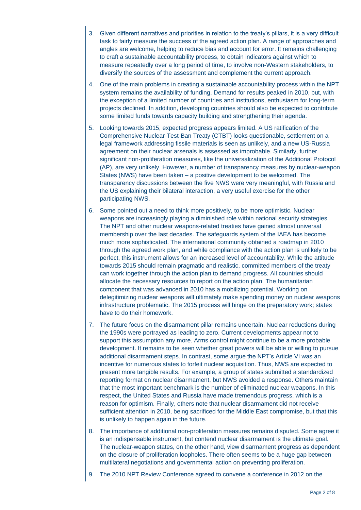- 3. Given different narratives and priorities in relation to the treaty's pillars, it is a very difficult task to fairly measure the success of the agreed action plan. A range of approaches and angles are welcome, helping to reduce bias and account for error. It remains challenging to craft a sustainable accountability process, to obtain indicators against which to measure repeatedly over a long period of time, to involve non-Western stakeholders, to diversify the sources of the assessment and complement the current approach.
- 4. One of the main problems in creating a sustainable accountability process within the NPT system remains the availability of funding. Demand for results peaked in 2010, but, with the exception of a limited number of countries and institutions, enthusiasm for long-term projects declined. In addition, developing countries should also be expected to contribute some limited funds towards capacity building and strengthening their agenda.
- 5. Looking towards 2015, expected progress appears limited. A US ratification of the Comprehensive Nuclear-Test-Ban Treaty (CTBT) looks questionable, settlement on a legal framework addressing fissile materials is seen as unlikely, and a new US-Russia agreement on their nuclear arsenals is assessed as improbable. Similarly, further significant non-proliferation measures, like the universalization of the Additional Protocol (AP), are very unlikely. However, a number of transparency measures by nuclear-weapon States (NWS) have been taken – a positive development to be welcomed. The transparency discussions between the five NWS were very meaningful, with Russia and the US explaining their bilateral interaction, a very useful exercise for the other participating NWS.
- 6. Some pointed out a need to think more positively, to be more optimistic. Nuclear weapons are increasingly playing a diminished role within national security strategies. The NPT and other nuclear weapons-related treaties have gained almost universal membership over the last decades. The safeguards system of the IAEA has become much more sophisticated. The international community obtained a roadmap in 2010 through the agreed work plan, and while compliance with the action plan is unlikely to be perfect, this instrument allows for an increased level of accountability. While the attitude towards 2015 should remain pragmatic and realistic, committed members of the treaty can work together through the action plan to demand progress. All countries should allocate the necessary resources to report on the action plan. The humanitarian component that was advanced in 2010 has a mobilizing potential. Working on delegitimizing nuclear weapons will ultimately make spending money on nuclear weapons infrastructure problematic. The 2015 process will hinge on the preparatory work; states have to do their homework.
- 7. The future focus on the disarmament pillar remains uncertain. Nuclear reductions during the 1990s were portrayed as leading to zero. Current developments appear not to support this assumption any more. Arms control might continue to be a more probable development. It remains to be seen whether great powers will be able or willing to pursue additional disarmament steps. In contrast, some argue the NPT's Article VI was an incentive for numerous states to forfeit nuclear acquisition. Thus, NWS are expected to present more tangible results. For example, a group of states submitted a standardized reporting format on nuclear disarmament, but NWS avoided a response. Others maintain that the most important benchmark is the number of eliminated nuclear weapons. In this respect, the United States and Russia have made tremendous progress, which is a reason for optimism. Finally, others note that nuclear disarmament did not receive sufficient attention in 2010, being sacrificed for the Middle East compromise, but that this is unlikely to happen again in the future.
- 8. The importance of additional non-proliferation measures remains disputed. Some agree it is an indispensable instrument, but contend nuclear disarmament is the ultimate goal. The nuclear-weapon states, on the other hand, view disarmament progress as dependent on the closure of proliferation loopholes. There often seems to be a huge gap between multilateral negotiations and governmental action on preventing proliferation.
- 9. The 2010 NPT Review Conference agreed to convene a conference in 2012 on the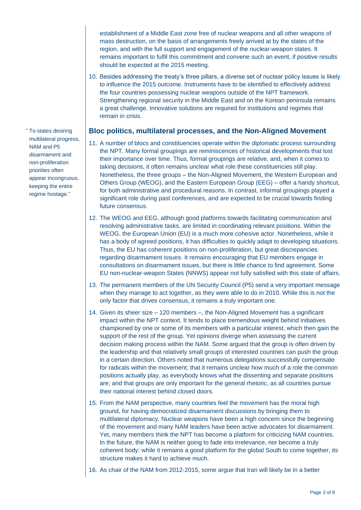establishment of a Middle East zone free of nuclear weapons and all other weapons of mass destruction, on the basis of arrangements freely arrived at by the states of the region, and with the full support and engagement of the nuclear-weapon states. It remains important to fulfil this commitment and convene such an event, if positive results should be expected at the 2015 meeting.

10. Besides addressing the treaty's three pillars, a diverse set of nuclear policy issues is likely to influence the 2015 outcome. Instruments have to be identified to effectively address the four countries possessing nuclear weapons outside of the NPT framework. Strengthening regional security in the Middle East and on the Korean peninsula remains a great challenge. Innovative solutions are required for institutions and regimes that remain in crisis.

### **Bloc politics, multilateral processes, and the Non-Aligned Movement**

- 11. A number of blocs and constituencies operate within the diplomatic process surrounding the NPT. Many formal groupings are reminiscences of historical developments that lost their importance over time. Thus, formal groupings are relative, and, when it comes to taking decisions, it often remains unclear what role these constituencies still play. Nonetheless, the three groups – the Non-Aligned Movement, the Western European and Others Group (WEOG), and the Eastern European Group (EEG) – offer a handy shortcut, for both administrative and procedural reasons. In contrast, informal groupings played a significant role during past conferences, and are expected to be crucial towards finding future consensus.
- 12. The WEOG and EEG, although good platforms towards facilitating communication and resolving administrative tasks, are limited in coordinating relevant positions. Within the WEOG, the European Union (EU) is a much more cohesive actor. Nonetheless, while it has a body of agreed positions, it has difficulties to quickly adapt to developing situations. Thus, the EU has coherent positions on non-proliferation, but great discrepancies regarding disarmament issues. It remains encouraging that EU members engage in consultations on disarmament issues, but there is little chance to find agreement. Some EU non-nuclear-weapon States (NNWS) appear not fully satisfied with this state of affairs.
- 13. The permanent members of the UN Security Council (P5) send a very important message when they manage to act together, as they were able to do in 2010. While this is not the only factor that drives consensus, it remains a truly important one.
- 14. Given its sheer size 120 members –, the Non-Aligned Movement has a significant impact within the NPT context. It tends to place tremendous weight behind initiatives championed by one or some of its members with a particular interest, which then gain the support of the rest of the group. Yet opinions diverge when assessing the current decision making process within the NAM. Some argued that the group is often driven by the leadership and that relatively small groups of interested countries can push the group in a certain direction. Others noted that numerous delegations successfully compensate for radicals within the movement; that it remains unclear how much of a role the common positions actually play, as everybody knows what the dissenting and separate positions are; and that groups are only important for the general rhetoric, as all countries pursue their national interest behind closed doors.
- 15. From the NAM perspective, many countries feel the movement has the moral high ground, for having democratized disarmament discussions by bringing them to multilateral diplomacy. Nuclear weapons have been a high concern since the beginning of the movement and many NAM leaders have been active advocates for disarmament. Yet, many members think the NPT has become a platform for criticizing NAM countries. In the future, the NAM is neither going to fade into irrelevance, nor become a truly coherent body: while it remains a good platform for the global South to come together, its structure makes it hard to achieve much.
- 16. As chair of the NAM from 2012-2015, some argue that Iran will likely be in a better

" To states desiring multilateral progress, NAM and P5 disarmament and non-proliferation priorities often appear incongruous, keeping the entire regime hostage."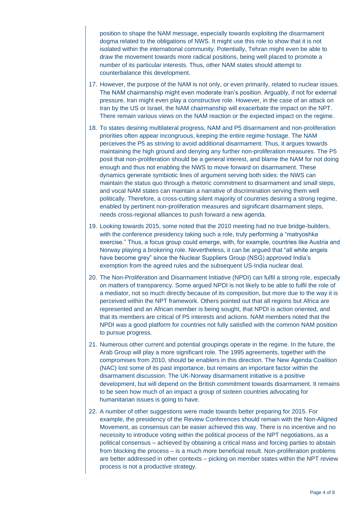position to shape the NAM message, especially towards exploiting the disarmament dogma related to the obligations of NWS. It might use this role to show that it is not isolated within the international community. Potentially, Tehran might even be able to draw the movement towards more radical positions, being well placed to promote a number of its particular interests. Thus, other NAM states should attempt to counterbalance this development.

- 17. However, the purpose of the NAM is not only, or even primarily, related to nuclear issues. The NAM chairmanship might even moderate Iran's position. Arguably, if not for external pressure, Iran might even play a constructive role. However, in the case of an attack on Iran by the US or Israel, the NAM chairmanship will exacerbate the impact on the NPT. There remain various views on the NAM reaction or the expected impact on the regime.
- 18. To states desiring multilateral progress, NAM and P5 disarmament and non-proliferation priorities often appear incongruous, keeping the entire regime hostage. The NAM perceives the P5 as striving to avoid additional disarmament. Thus, it argues towards maintaining the high ground and denying any further non-proliferation measures. The P5 posit that non-proliferation should be a general interest, and blame the NAM for not doing enough and thus not enabling the NWS to move forward on disarmament. These dynamics generate symbiotic lines of argument serving both sides: the NWS can maintain the status quo through a rhetoric commitment to disarmament and small steps, and vocal NAM states can maintain a narrative of discrimination serving them well politically. Therefore, a cross-cutting silent majority of countries desiring a strong regime, enabled by pertinent non-proliferation measures and significant disarmament steps, needs cross-regional alliances to push forward a new agenda.
- 19. Looking towards 2015, some noted that the 2010 meeting had no true bridge-builders, with the conference presidency taking such a role, truly performing a "matryoshka exercise." Thus, a focus group could emerge, with, for example, countries like Austria and Norway playing a brokering role. Nevertheless, it can be argued that "all white angels have become grey" since the Nuclear Suppliers Group (NSG) approved India's exemption from the agreed rules and the subsequent US-India nuclear deal.
- 20. The Non-Proliferation and Disarmament Initiative (NPDI) can fulfil a strong role, especially on matters of transparency. Some argued NPDI is not likely to be able to fulfil the role of a mediator, not so much directly because of its composition, but more due to the way it is perceived within the NPT framework. Others pointed out that all regions but Africa are represented and an African member is being sought, that NPDI is action oriented, and that its members are critical of P5 interests and actions. NAM members noted that the NPDI was a good platform for countries not fully satisfied with the common NAM position to pursue progress.
- 21. Numerous other current and potential groupings operate in the regime. In the future, the Arab Group will play a more significant role. The 1995 agreements, together with the compromises from 2010, should be enablers in this direction. The New Agenda Coalition (NAC) lost some of its past importance, but remains an important factor within the disarmament discussion. The UK-Norway disarmament initiative is a positive development, but will depend on the British commitment towards disarmament. It remains to be seen how much of an impact a group of sixteen countries advocating for humanitarian issues is going to have.
- 22. A number of other suggestions were made towards better preparing for 2015. For example, the presidency of the Review Conferences should remain with the Non-Aligned Movement, as consensus can be easier achieved this way. There is no incentive and no necessity to introduce voting within the political process of the NPT negotiations, as a political consensus – achieved by obtaining a critical mass and forcing parties to abstain from blocking the process – is a much more beneficial result. Non-proliferation problems are better addressed in other contexts – picking on member states within the NPT review process is not a productive strategy.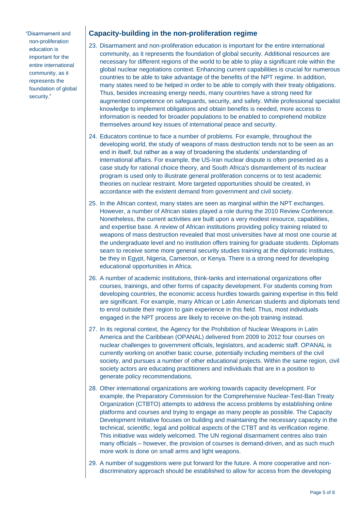"Disarmament and non-proliferation education is important for the entire international community, as it represents the foundation of global security."

### **Capacity-building in the non-proliferation regime**

- 23. Disarmament and non-proliferation education is important for the entire international community, as it represents the foundation of global security. Additional resources are necessary for different regions of the world to be able to play a significant role within the global nuclear negotiations context. Enhancing current capabilities is crucial for numerous countries to be able to take advantage of the benefits of the NPT regime. In addition, many states need to be helped in order to be able to comply with their treaty obligations. Thus, besides increasing energy needs, many countries have a strong need for augmented competence on safeguards, security, and safety. While professional specialist knowledge to implement obligations and obtain benefits is needed, more access to information is needed for broader populations to be enabled to comprehend mobilize themselves around key issues of international peace and security.
- 24. Educators continue to face a number of problems. For example, throughout the developing world, the study of weapons of mass destruction tends not to be seen as an end in itself, but rather as a way of broadening the students' understanding of international affairs. For example, the US-Iran nuclear dispute is often presented as a case study for rational choice theory, and South Africa's dismantlement of its nuclear program is used only to illustrate general proliferation concerns or to test academic theories on nuclear restraint. More targeted opportunities should be created, in accordance with the existent demand from government and civil society.
- 25. In the African context, many states are seen as marginal within the NPT exchanges. However, a number of African states played a role during the 2010 Review Conference. Nonetheless, the current activities are built upon a very modest resource, capabilities, and expertise base. A review of African institutions providing policy training related to weapons of mass destruction revealed that most universities have at most one course at the undergraduate level and no institution offers training for graduate students. Diplomats seam to receive some more general security studies training at the diplomatic institutes, be they in Egypt, Nigeria, Cameroon, or Kenya. There is a strong need for developing educational opportunities in Africa.
- 26. A number of academic institutions, think-tanks and international organizations offer courses, trainings, and other forms of capacity development. For students coming from developing countries, the economic access hurdles towards gaining expertise in this field are significant. For example, many African or Latin American students and diplomats tend to enrol outside their region to gain experience in this field. Thus, most individuals engaged in the NPT process are likely to receive on-the-job training instead.
- 27. In its regional context, the Agency for the Prohibition of Nuclear Weapons in Latin America and the Caribbean (OPANAL) delivered from 2009 to 2012 four courses on nuclear challenges to government officials, legislators, and academic staff. OPANAL is currently working on another basic course, potentially including members of the civil society, and pursues a number of other educational projects. Within the same region, civil society actors are educating practitioners and individuals that are in a position to generate policy recommendations.
- 28. Other international organizations are working towards capacity development. For example, the Preparatory Commission for the Comprehensive Nuclear-Test-Ban Treaty Organization (CTBTO) attempts to address the access problems by establishing online platforms and courses and trying to engage as many people as possible. The Capacity Development Initiative focuses on building and maintaining the necessary capacity in the technical, scientific, legal and political aspects of the CTBT and its verification regime. This initiative was widely welcomed. The UN regional disarmament centres also train many officials – however, the provision of courses is demand-driven, and as such much more work is done on small arms and light weapons.
- 29. A number of suggestions were put forward for the future. A more cooperative and nondiscriminatory approach should be established to allow for access from the developing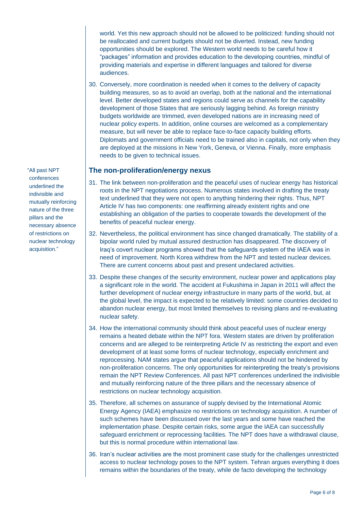world. Yet this new approach should not be allowed to be politicized: funding should not be reallocated and current budgets should not be diverted. Instead, new funding opportunities should be explored. The Western world needs to be careful how it "packages" information and provides education to the developing countries, mindful of providing materials and expertise in different languages and tailored for diverse audiences.

30. Conversely, more coordination is needed when it comes to the delivery of capacity building measures, so as to avoid an overlap, both at the national and the international level. Better developed states and regions could serve as channels for the capability development of those States that are seriously lagging behind. As foreign ministry budgets worldwide are trimmed, even developed nations are in increasing need of nuclear policy experts. In addition, online courses are welcomed as a complementary measure, but will never be able to replace face-to-face capacity building efforts. Diplomats and government officials need to be trained also in capitals, not only when they are deployed at the missions in New York, Geneva, or Vienna. Finally, more emphasis needs to be given to technical issues.

#### **The non-proliferation/energy nexus**

- 31. The link between non-proliferation and the peaceful uses of nuclear energy has historical roots in the NPT negotiations process. Numerous states involved in drafting the treaty text underlined that they were not open to anything hindering their rights. Thus, NPT Article IV has two components: one reaffirming already existent rights and one establishing an obligation of the parties to cooperate towards the development of the benefits of peaceful nuclear energy.
- 32. Nevertheless, the political environment has since changed dramatically. The stability of a bipolar world ruled by mutual assured destruction has disappeared. The discovery of Iraq's covert nuclear programs showed that the safeguards system of the IAEA was in need of improvement. North Korea withdrew from the NPT and tested nuclear devices. There are current concerns about past and present undeclared activities.
- 33. Despite these changes of the security environment, nuclear power and applications play a significant role in the world. The accident at Fukushima in Japan in 2011 will affect the further development of nuclear energy infrastructure in many parts of the world, but, at the global level, the impact is expected to be relatively limited: some countries decided to abandon nuclear energy, but most limited themselves to revising plans and re-evaluating nuclear safety.
- 34. How the international community should think about peaceful uses of nuclear energy remains a heated debate within the NPT fora. Western states are driven by proliferation concerns and are alleged to be reinterpreting Article IV as restricting the export and even development of at least some forms of nuclear technology, especially enrichment and reprocessing. NAM states argue that peaceful applications should not be hindered by non-proliferation concerns. The only opportunities for reinterpreting the treaty's provisions remain the NPT Review Conferences. All past NPT conferences underlined the indivisible and mutually reinforcing nature of the three pillars and the necessary absence of restrictions on nuclear technology acquisition.
- 35. Therefore, all schemes on assurance of supply devised by the International Atomic Energy Agency (IAEA) emphasize no restrictions on technology acquisition. A number of such schemes have been discussed over the last years and some have reached the implementation phase. Despite certain risks, some argue the IAEA can successfully safeguard enrichment or reprocessing facilities. The NPT does have a withdrawal clause, but this is normal procedure within international law.
- 36. Iran's nuclear activities are the most prominent case study for the challenges unrestricted access to nuclear technology poses to the NPT system. Tehran argues everything it does remains within the boundaries of the treaty, while de facto developing the technology

"All past NPT conferences underlined the indivisible and mutually reinforcing nature of the three pillars and the necessary absence of restrictions on nuclear technology acquisition."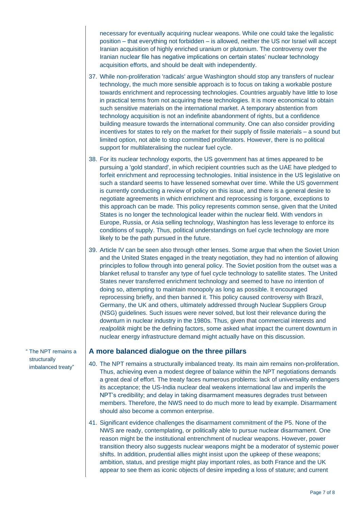necessary for eventually acquiring nuclear weapons. While one could take the legalistic position – that everything not forbidden – is allowed, neither the US nor Israel will accept Iranian acquisition of highly enriched uranium or plutonium. The controversy over the Iranian nuclear file has negative implications on certain states' nuclear technology acquisition efforts, and should be dealt with independently.

- 37. While non-proliferation 'radicals' argue Washington should stop any transfers of nuclear technology, the much more sensible approach is to focus on taking a workable posture towards enrichment and reprocessing technologies. Countries arguably have little to lose in practical terms from not acquiring these technologies. It is more economical to obtain such sensitive materials on the international market. A temporary abstention from technology acquisition is not an indefinite abandonment of rights, but a confidence building measure towards the international community. One can also consider providing incentives for states to rely on the market for their supply of fissile materials – a sound but limited option, not able to stop committed proliferators. However, there is no political support for multilateralising the nuclear fuel cycle.
- 38. For its nuclear technology exports, the US government has at times appeared to be pursuing a 'gold standard', in which recipient countries such as the UAE have pledged to forfeit enrichment and reprocessing technologies. Initial insistence in the US legislative on such a standard seems to have lessened somewhat over time. While the US government is currently conducting a review of policy on this issue, and there is a general desire to negotiate agreements in which enrichment and reprocessing is forgone, exceptions to this approach can be made. This policy represents common sense, given that the United States is no longer the technological leader within the nuclear field. With vendors in Europe, Russia, or Asia selling technology, Washington has less leverage to enforce its conditions of supply. Thus, political understandings on fuel cycle technology are more likely to be the path pursued in the future.
- 39. Article IV can be seen also through other lenses. Some argue that when the Soviet Union and the United States engaged in the treaty negotiation, they had no intention of allowing principles to follow through into general policy. The Soviet position from the outset was a blanket refusal to transfer any type of fuel cycle technology to satellite states. The United States never transferred enrichment technology and seemed to have no intention of doing so, attempting to maintain monopoly as long as possible. It encouraged reprocessing briefly, and then banned it. This policy caused controversy with Brazil, Germany, the UK and others, ultimately addressed through Nuclear Suppliers Group (NSG) guidelines. Such issues were never solved, but lost their relevance during the downturn in nuclear industry in the 1980s. Thus, given that commercial interests and *realpolitik* might be the defining factors, some asked what impact the current downturn in nuclear energy infrastructure demand might actually have on this discussion.

#### **A more balanced dialogue on the three pillars**

- 40. The NPT remains a structurally imbalanced treaty. Its main aim remains non-proliferation. Thus, achieving even a modest degree of balance within the NPT negotiations demands a great deal of effort. The treaty faces numerous problems: lack of universality endangers its acceptance; the US-India nuclear deal weakens international law and imperils the NPT's credibility; and delay in taking disarmament measures degrades trust between members. Therefore, the NWS need to do much more to lead by example. Disarmament should also become a common enterprise.
- 41. Significant evidence challenges the disarmament commitment of the P5. None of the NWS are ready, contemplating, or politically able to pursue nuclear disarmament. One reason might be the institutional entrenchment of nuclear weapons. However, power transition theory also suggests nuclear weapons might be a moderator of systemic power shifts. In addition, prudential allies might insist upon the upkeep of these weapons; ambition, status, and prestige might play important roles, as both France and the UK appear to see them as iconic objects of desire impeding a loss of stature; and current

" The NPT remains a structurally imbalanced treaty"